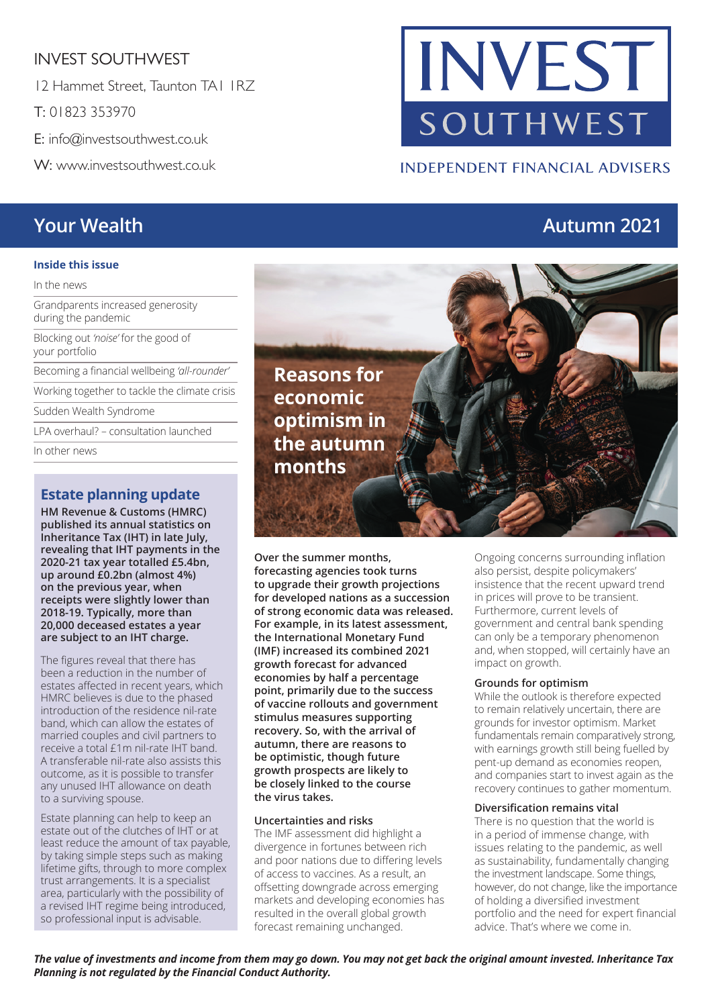# INVEST SOUTHWEST

12 Hammet Street, Taunton TA1 1RZ

T: 01823 353970

E: info@investsouthwest.co.uk

W: www.investsouthwest.co.uk

#### **Inside this issue**

In the news

Grandparents increased generosity during the pandemic

Blocking out *'noise'* for the good of your portfolio

Becoming a financial wellbeing *'all-rounder'*

Working together to tackle the climate crisis

Sudden Wealth Syndrome

LPA overhaul? – consultation launched

In other news

## **Estate planning update**

**HM Revenue & Customs (HMRC) published its annual statistics on Inheritance Tax (IHT) in late July, revealing that IHT payments in the 2020-21 tax year totalled £5.4bn, up around £0.2bn (almost 4%) on the previous year, when receipts were slightly lower than 2018-19. Typically, more than 20,000 deceased estates a year are subject to an IHT charge.** 

The figures reveal that there has been a reduction in the number of estates affected in recent years, which HMRC believes is due to the phased introduction of the residence nil-rate band, which can allow the estates of married couples and civil partners to receive a total £1m nil-rate IHT band. A transferable nil-rate also assists this outcome, as it is possible to transfer any unused IHT allowance on death to a surviving spouse.

Estate planning can help to keep an estate out of the clutches of IHT or at least reduce the amount of tax payable, by taking simple steps such as making lifetime gifts, through to more complex trust arrangements. It is a specialist area, particularly with the possibility of a revised IHT regime being introduced, so professional input is advisable.

# INVEST SOUTHWEST

# **INDEPENDENT FINANCIAL ADVISERS**

# **Your Wealth Autumn 2021**

**Reasons for economic optimism in the autumn months**

**Over the summer months, forecasting agencies took turns to upgrade their growth projections for developed nations as a succession of strong economic data was released. For example, in its latest assessment, the International Monetary Fund (IMF) increased its combined 2021 growth forecast for advanced economies by half a percentage point, primarily due to the success of vaccine rollouts and government stimulus measures supporting recovery. So, with the arrival of autumn, there are reasons to be optimistic, though future growth prospects are likely to be closely linked to the course the virus takes.** 

#### **Uncertainties and risks**

The IMF assessment did highlight a divergence in fortunes between rich and poor nations due to differing levels of access to vaccines. As a result, an offsetting downgrade across emerging markets and developing economies has resulted in the overall global growth forecast remaining unchanged.

Ongoing concerns surrounding inflation also persist, despite policymakers' insistence that the recent upward trend in prices will prove to be transient. Furthermore, current levels of government and central bank spending can only be a temporary phenomenon and, when stopped, will certainly have an impact on growth.

#### **Grounds for optimism**

While the outlook is therefore expected to remain relatively uncertain, there are grounds for investor optimism. Market fundamentals remain comparatively strong, with earnings growth still being fuelled by pent-up demand as economies reopen, and companies start to invest again as the recovery continues to gather momentum.

#### **Diversification remains vital**

There is no question that the world is in a period of immense change, with issues relating to the pandemic, as well as sustainability, fundamentally changing the investment landscape. Some things, however, do not change, like the importance of holding a diversified investment portfolio and the need for expert financial advice. That's where we come in.

*The value of investments and income from them may go down. You may not get back the original amount invested. Inheritance Tax Planning is not regulated by the Financial Conduct Authority.*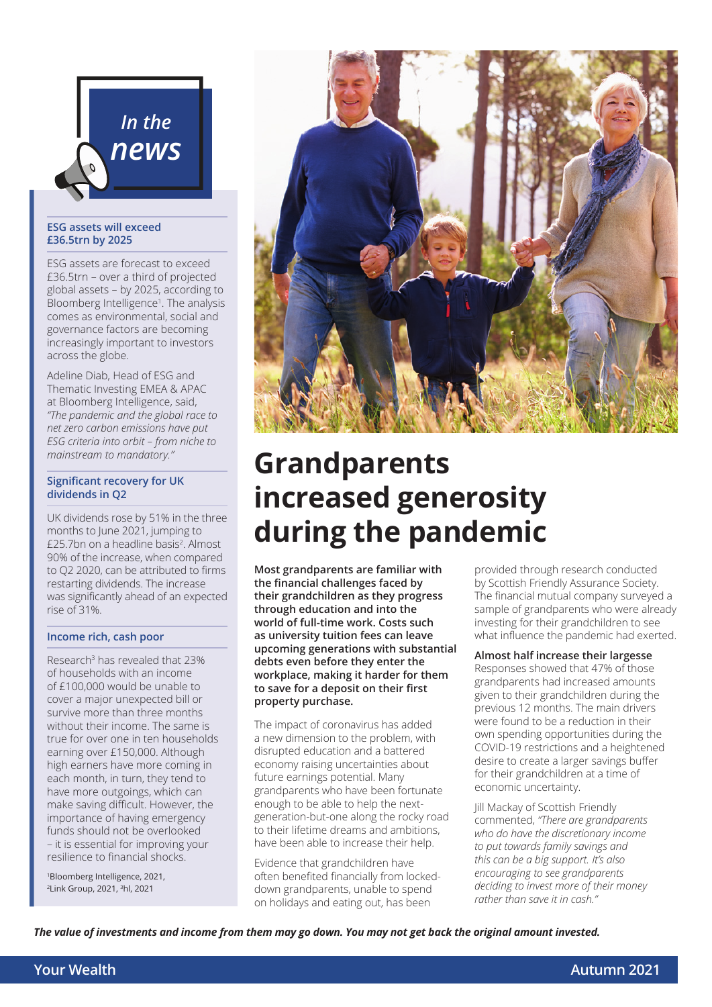

#### **ESG assets will exceed £36.5trn by 2025**

ESG assets are forecast to exceed £36.5trn – over a third of projected global assets – by 2025, according to Bloomberg Intelligence<sup>1</sup>. The analysis comes as environmental, social and governance factors are becoming increasingly important to investors across the globe.

Adeline Diab, Head of ESG and Thematic Investing EMEA & APAC at Bloomberg Intelligence, said, *"The pandemic and the global race to net zero carbon emissions have put ESG criteria into orbit – from niche to mainstream to mandatory."* 

#### **Significant recovery for UK dividends in Q2**

UK dividends rose by 51% in the three months to June 2021, jumping to £25.7bn on a headline basis<sup>2</sup>. Almost 90% of the increase, when compared to Q2 2020, can be attributed to firms restarting dividends. The increase was significantly ahead of an expected rise of 31%.

#### **Income rich, cash poor**

Research3 has revealed that 23% of households with an income of £100,000 would be unable to cover a major unexpected bill or survive more than three months without their income. The same is true for over one in ten households earning over £150,000. Although high earners have more coming in each month, in turn, they tend to have more outgoings, which can make saving difficult. However, the importance of having emergency funds should not be overlooked – it is essential for improving your resilience to financial shocks.

1Bloomberg Intelligence, 2021, 2Link Group, 2021, 3hl, 2021



# **Grandparents increased generosity during the pandemic**

**Most grandparents are familiar with the financial challenges faced by their grandchildren as they progress through education and into the world of full-time work. Costs such as university tuition fees can leave upcoming generations with substantial debts even before they enter the workplace, making it harder for them to save for a deposit on their first property purchase.** 

The impact of coronavirus has added a new dimension to the problem, with disrupted education and a battered economy raising uncertainties about future earnings potential. Many grandparents who have been fortunate enough to be able to help the nextgeneration-but-one along the rocky road to their lifetime dreams and ambitions, have been able to increase their help.

Evidence that grandchildren have often benefited financially from lockeddown grandparents, unable to spend on holidays and eating out, has been

provided through research conducted by Scottish Friendly Assurance Society. The financial mutual company surveyed a sample of grandparents who were already investing for their grandchildren to see what influence the pandemic had exerted.

#### **Almost half increase their largesse**

Responses showed that 47% of those grandparents had increased amounts given to their grandchildren during the previous 12 months. The main drivers were found to be a reduction in their own spending opportunities during the COVID-19 restrictions and a heightened desire to create a larger savings buffer for their grandchildren at a time of economic uncertainty.

Jill Mackay of Scottish Friendly commented, *"There are grandparents who do have the discretionary income to put towards family savings and this can be a big support. It's also encouraging to see grandparents deciding to invest more of their money rather than save it in cash."* 

*The value of investments and income from them may go down. You may not get back the original amount invested.*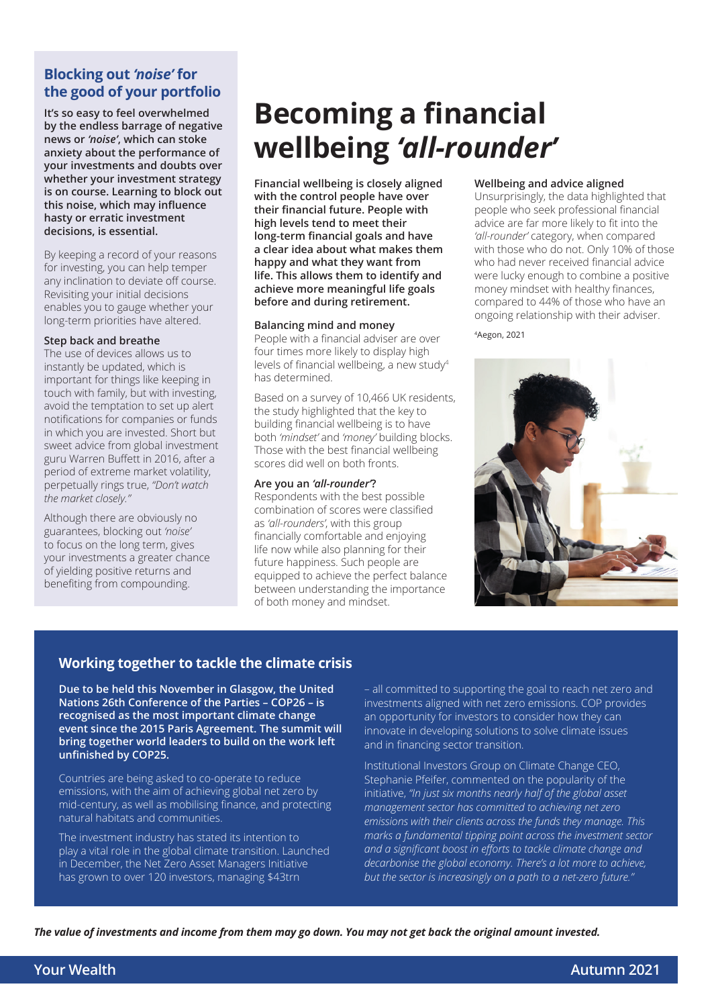# **Blocking out** *'noise'* **for the good of your portfolio**

**It's so easy to feel overwhelmed by the endless barrage of negative news or** *'noise'***, which can stoke anxiety about the performance of your investments and doubts over whether your investment strategy is on course. Learning to block out this noise, which may influence hasty or erratic investment decisions, is essential.**

By keeping a record of your reasons for investing, you can help temper any inclination to deviate off course. Revisiting your initial decisions enables you to gauge whether your long-term priorities have altered.

#### **Step back and breathe**

The use of devices allows us to instantly be updated, which is important for things like keeping in touch with family, but with investing, avoid the temptation to set up alert notifications for companies or funds in which you are invested. Short but sweet advice from global investment guru Warren Buffett in 2016, after a period of extreme market volatility, perpetually rings true, *"Don't watch the market closely."*

Although there are obviously no guarantees, blocking out *'noise'* to focus on the long term, gives your investments a greater chance of yielding positive returns and benefiting from compounding.

# **Becoming a financial wellbeing** *'all-rounder'*

**Financial wellbeing is closely aligned with the control people have over their financial future. People with high levels tend to meet their long-term financial goals and have a clear idea about what makes them happy and what they want from life. This allows them to identify and achieve more meaningful life goals before and during retirement.**

#### **Balancing mind and money**

People with a financial adviser are over four times more likely to display high levels of financial wellbeing, a new study<sup>4</sup> has determined.

Based on a survey of 10,466 UK residents, the study highlighted that the key to building financial wellbeing is to have both *'mindset'* and *'money'* building blocks. Those with the best financial wellbeing scores did well on both fronts.

#### **Are you an** *'all-rounder'***?**

Respondents with the best possible combination of scores were classified as *'all-rounders'*, with this group financially comfortable and enjoying life now while also planning for their future happiness. Such people are equipped to achieve the perfect balance between understanding the importance of both money and mindset.

#### **Wellbeing and advice aligned**

Unsurprisingly, the data highlighted that people who seek professional financial advice are far more likely to fit into the *'all-rounder'* category, when compared with those who do not. Only 10% of those who had never received financial advice were lucky enough to combine a positive money mindset with healthy finances, compared to 44% of those who have an ongoing relationship with their adviser.

#### 4Aegon, 2021



#### **Working together to tackle the climate crisis**

**Due to be held this November in Glasgow, the United Nations 26th Conference of the Parties – COP26 – is recognised as the most important climate change event since the 2015 Paris Agreement. The summit will bring together world leaders to build on the work left unfinished by COP25.** 

Countries are being asked to co-operate to reduce emissions, with the aim of achieving global net zero by mid-century, as well as mobilising finance, and protecting natural habitats and communities.

The investment industry has stated its intention to play a vital role in the global climate transition. Launched in December, the Net Zero Asset Managers Initiative has grown to over 120 investors, managing \$43trn

– all committed to supporting the goal to reach net zero and investments aligned with net zero emissions. COP provides an opportunity for investors to consider how they can innovate in developing solutions to solve climate issues and in financing sector transition.

Institutional Investors Group on Climate Change CEO, Stephanie Pfeifer, commented on the popularity of the initiative, *"In just six months nearly half of the global asset management sector has committed to achieving net zero emissions with their clients across the funds they manage. This marks a fundamental tipping point across the investment sector and a significant boost in efforts to tackle climate change and decarbonise the global economy. There's a lot more to achieve, but the sector is increasingly on a path to a net-zero future."*

*The value of investments and income from them may go down. You may not get back the original amount invested.*